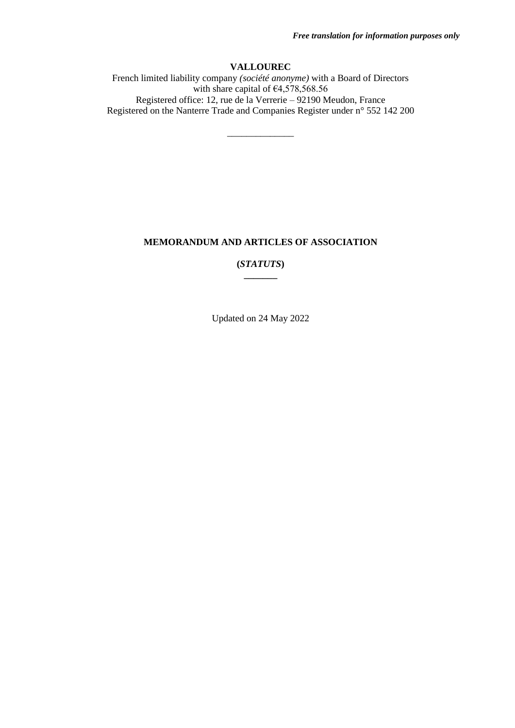### **VALLOUREC**

French limited liability company *(société anonyme)* with a Board of Directors with share capital of  $64,578,568.56$ Registered office: 12, rue de la Verrerie – 92190 Meudon, France Registered on the Nanterre Trade and Companies Register under n° 552 142 200

\_\_\_\_\_\_\_\_\_\_\_\_\_\_

# **MEMORANDUM AND ARTICLES OF ASSOCIATION**

**(***STATUTS***) \_\_\_\_\_\_\_**

Updated on 24 May 2022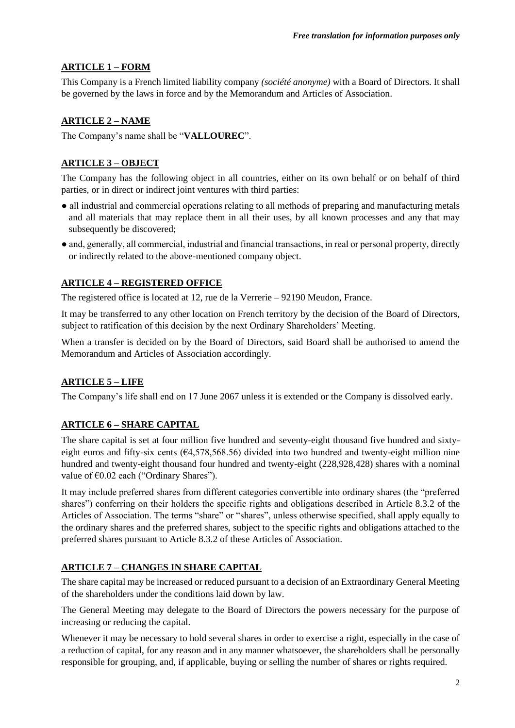# **ARTICLE 1 – FORM**

This Company is a French limited liability company *(société anonyme)* with a Board of Directors. It shall be governed by the laws in force and by the Memorandum and Articles of Association.

# **ARTICLE 2 – NAME**

The Company's name shall be "**VALLOUREC**".

# **ARTICLE 3 – OBJECT**

The Company has the following object in all countries, either on its own behalf or on behalf of third parties, or in direct or indirect joint ventures with third parties:

- all industrial and commercial operations relating to all methods of preparing and manufacturing metals and all materials that may replace them in all their uses, by all known processes and any that may subsequently be discovered:
- and, generally, all commercial, industrial and financial transactions, in real or personal property, directly or indirectly related to the above-mentioned company object.

# **ARTICLE 4 – REGISTERED OFFICE**

The registered office is located at 12, rue de la Verrerie – 92190 Meudon, France.

It may be transferred to any other location on French territory by the decision of the Board of Directors, subject to ratification of this decision by the next Ordinary Shareholders' Meeting.

When a transfer is decided on by the Board of Directors, said Board shall be authorised to amend the Memorandum and Articles of Association accordingly.

# **ARTICLE 5 – LIFE**

The Company's life shall end on 17 June 2067 unless it is extended or the Company is dissolved early.

## **ARTICLE 6 – SHARE CAPITAL**

The share capital is set at four million five hundred and seventy-eight thousand five hundred and sixtyeight euros and fifty-six cents (€4,578,568.56) divided into two hundred and twenty-eight million nine hundred and twenty-eight thousand four hundred and twenty-eight (228,928,428) shares with a nominal value of €0.02 each ("Ordinary Shares").

It may include preferred shares from different categories convertible into ordinary shares (the "preferred shares") conferring on their holders the specific rights and obligations described in Article 8.3.2 of the Articles of Association. The terms "share" or "shares", unless otherwise specified, shall apply equally to the ordinary shares and the preferred shares, subject to the specific rights and obligations attached to the preferred shares pursuant to Article 8.3.2 of these Articles of Association.

## **ARTICLE 7 – CHANGES IN SHARE CAPITAL**

The share capital may be increased or reduced pursuant to a decision of an Extraordinary General Meeting of the shareholders under the conditions laid down by law.

The General Meeting may delegate to the Board of Directors the powers necessary for the purpose of increasing or reducing the capital.

Whenever it may be necessary to hold several shares in order to exercise a right, especially in the case of a reduction of capital, for any reason and in any manner whatsoever, the shareholders shall be personally responsible for grouping, and, if applicable, buying or selling the number of shares or rights required.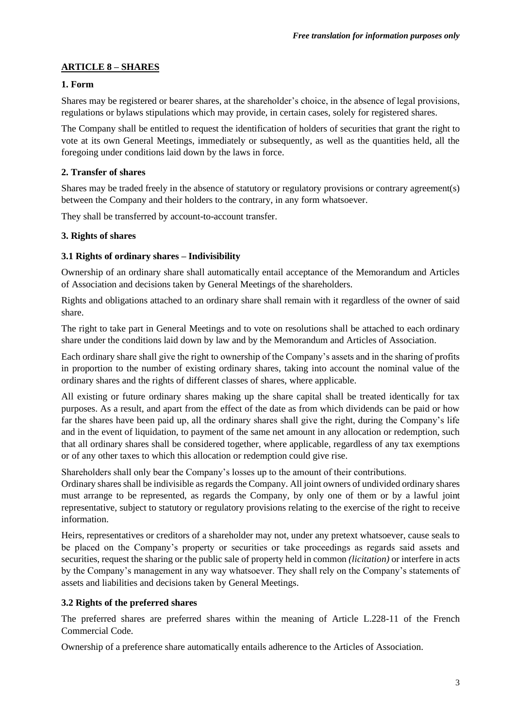# **ARTICLE 8 – SHARES**

# **1. Form**

Shares may be registered or bearer shares, at the shareholder's choice, in the absence of legal provisions, regulations or bylaws stipulations which may provide, in certain cases, solely for registered shares.

The Company shall be entitled to request the identification of holders of securities that grant the right to vote at its own General Meetings, immediately or subsequently, as well as the quantities held, all the foregoing under conditions laid down by the laws in force.

## **2. Transfer of shares**

Shares may be traded freely in the absence of statutory or regulatory provisions or contrary agreement(s) between the Company and their holders to the contrary, in any form whatsoever.

They shall be transferred by account-to-account transfer.

## **3. Rights of shares**

## **3.1 Rights of ordinary shares – Indivisibility**

Ownership of an ordinary share shall automatically entail acceptance of the Memorandum and Articles of Association and decisions taken by General Meetings of the shareholders.

Rights and obligations attached to an ordinary share shall remain with it regardless of the owner of said share.

The right to take part in General Meetings and to vote on resolutions shall be attached to each ordinary share under the conditions laid down by law and by the Memorandum and Articles of Association.

Each ordinary share shall give the right to ownership of the Company's assets and in the sharing of profits in proportion to the number of existing ordinary shares, taking into account the nominal value of the ordinary shares and the rights of different classes of shares, where applicable.

All existing or future ordinary shares making up the share capital shall be treated identically for tax purposes. As a result, and apart from the effect of the date as from which dividends can be paid or how far the shares have been paid up, all the ordinary shares shall give the right, during the Company's life and in the event of liquidation, to payment of the same net amount in any allocation or redemption, such that all ordinary shares shall be considered together, where applicable, regardless of any tax exemptions or of any other taxes to which this allocation or redemption could give rise.

Shareholders shall only bear the Company's losses up to the amount of their contributions.

Ordinary shares shall be indivisible as regards the Company. All joint owners of undivided ordinary shares must arrange to be represented, as regards the Company, by only one of them or by a lawful joint representative, subject to statutory or regulatory provisions relating to the exercise of the right to receive information.

Heirs, representatives or creditors of a shareholder may not, under any pretext whatsoever, cause seals to be placed on the Company's property or securities or take proceedings as regards said assets and securities, request the sharing or the public sale of property held in common *(licitation)* or interfere in acts by the Company's management in any way whatsoever. They shall rely on the Company's statements of assets and liabilities and decisions taken by General Meetings.

## **3.2 Rights of the preferred shares**

The preferred shares are preferred shares within the meaning of Article L.228-11 of the French Commercial Code.

Ownership of a preference share automatically entails adherence to the Articles of Association.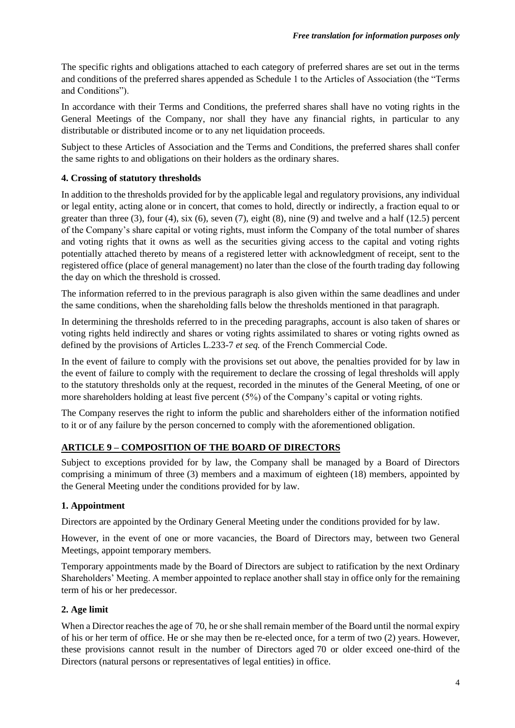The specific rights and obligations attached to each category of preferred shares are set out in the terms and conditions of the preferred shares appended as Schedule 1 to the Articles of Association (the "Terms and Conditions").

In accordance with their Terms and Conditions, the preferred shares shall have no voting rights in the General Meetings of the Company, nor shall they have any financial rights, in particular to any distributable or distributed income or to any net liquidation proceeds.

Subject to these Articles of Association and the Terms and Conditions, the preferred shares shall confer the same rights to and obligations on their holders as the ordinary shares.

## **4. Crossing of statutory thresholds**

In addition to the thresholds provided for by the applicable legal and regulatory provisions, any individual or legal entity, acting alone or in concert, that comes to hold, directly or indirectly, a fraction equal to or greater than three (3), four (4), six (6), seven (7), eight (8), nine (9) and twelve and a half (12.5) percent of the Company's share capital or voting rights, must inform the Company of the total number of shares and voting rights that it owns as well as the securities giving access to the capital and voting rights potentially attached thereto by means of a registered letter with acknowledgment of receipt, sent to the registered office (place of general management) no later than the close of the fourth trading day following the day on which the threshold is crossed.

The information referred to in the previous paragraph is also given within the same deadlines and under the same conditions, when the shareholding falls below the thresholds mentioned in that paragraph.

In determining the thresholds referred to in the preceding paragraphs, account is also taken of shares or voting rights held indirectly and shares or voting rights assimilated to shares or voting rights owned as defined by the provisions of Articles L.233-7 *et seq.* of the French Commercial Code.

In the event of failure to comply with the provisions set out above, the penalties provided for by law in the event of failure to comply with the requirement to declare the crossing of legal thresholds will apply to the statutory thresholds only at the request, recorded in the minutes of the General Meeting, of one or more shareholders holding at least five percent (5%) of the Company's capital or voting rights.

The Company reserves the right to inform the public and shareholders either of the information notified to it or of any failure by the person concerned to comply with the aforementioned obligation.

# **ARTICLE 9 – COMPOSITION OF THE BOARD OF DIRECTORS**

Subject to exceptions provided for by law, the Company shall be managed by a Board of Directors comprising a minimum of three (3) members and a maximum of eighteen (18) members, appointed by the General Meeting under the conditions provided for by law.

## **1. Appointment**

Directors are appointed by the Ordinary General Meeting under the conditions provided for by law.

However, in the event of one or more vacancies, the Board of Directors may, between two General Meetings, appoint temporary members.

Temporary appointments made by the Board of Directors are subject to ratification by the next Ordinary Shareholders' Meeting. A member appointed to replace another shall stay in office only for the remaining term of his or her predecessor.

## **2. Age limit**

When a Director reaches the age of 70, he or she shall remain member of the Board until the normal expiry of his or her term of office. He or she may then be re-elected once, for a term of two (2) years. However, these provisions cannot result in the number of Directors aged 70 or older exceed one-third of the Directors (natural persons or representatives of legal entities) in office.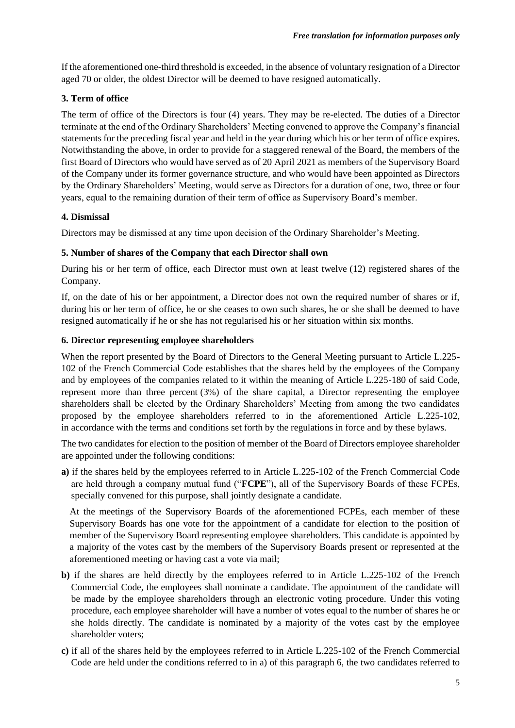If the aforementioned one-third threshold is exceeded, in the absence of voluntary resignation of a Director aged 70 or older, the oldest Director will be deemed to have resigned automatically.

## **3. Term of office**

The term of office of the Directors is four (4) years. They may be re-elected. The duties of a Director terminate at the end of the Ordinary Shareholders' Meeting convened to approve the Company's financial statements for the preceding fiscal year and held in the year during which his or her term of office expires. Notwithstanding the above, in order to provide for a staggered renewal of the Board, the members of the first Board of Directors who would have served as of 20 April 2021 as members of the Supervisory Board of the Company under its former governance structure, and who would have been appointed as Directors by the Ordinary Shareholders' Meeting, would serve as Directors for a duration of one, two, three or four years, equal to the remaining duration of their term of office as Supervisory Board's member.

## **4. Dismissal**

Directors may be dismissed at any time upon decision of the Ordinary Shareholder's Meeting.

#### **5. Number of shares of the Company that each Director shall own**

During his or her term of office, each Director must own at least twelve (12) registered shares of the Company.

If, on the date of his or her appointment, a Director does not own the required number of shares or if, during his or her term of office, he or she ceases to own such shares, he or she shall be deemed to have resigned automatically if he or she has not regularised his or her situation within six months.

# **6. Director representing employee shareholders**

When the report presented by the Board of Directors to the General Meeting pursuant to Article L.225-102 of the French Commercial Code establishes that the shares held by the employees of the Company and by employees of the companies related to it within the meaning of Article L.225-180 of said Code, represent more than three percent (3%) of the share capital, a Director representing the employee shareholders shall be elected by the Ordinary Shareholders' Meeting from among the two candidates proposed by the employee shareholders referred to in the aforementioned Article L.225-102, in accordance with the terms and conditions set forth by the regulations in force and by these bylaws.

The two candidates for election to the position of member of the Board of Directors employee shareholder are appointed under the following conditions:

**a)** if the shares held by the employees referred to in Article L.225-102 of the French Commercial Code are held through a company mutual fund ("**FCPE**"), all of the Supervisory Boards of these FCPEs, specially convened for this purpose, shall jointly designate a candidate.

At the meetings of the Supervisory Boards of the aforementioned FCPEs, each member of these Supervisory Boards has one vote for the appointment of a candidate for election to the position of member of the Supervisory Board representing employee shareholders. This candidate is appointed by a majority of the votes cast by the members of the Supervisory Boards present or represented at the aforementioned meeting or having cast a vote via mail;

- **b**) if the shares are held directly by the employees referred to in Article L.225-102 of the French Commercial Code, the employees shall nominate a candidate. The appointment of the candidate will be made by the employee shareholders through an electronic voting procedure. Under this voting procedure, each employee shareholder will have a number of votes equal to the number of shares he or she holds directly. The candidate is nominated by a majority of the votes cast by the employee shareholder voters;
- **c)** if all of the shares held by the employees referred to in Article L.225-102 of the French Commercial Code are held under the conditions referred to in a) of this paragraph 6, the two candidates referred to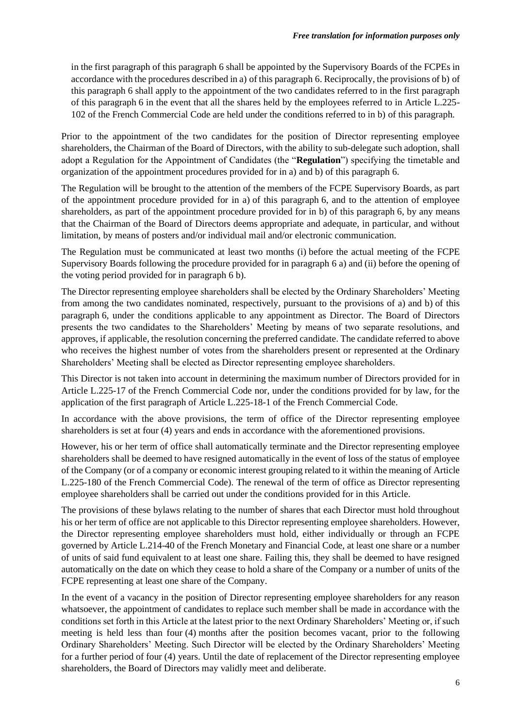in the first paragraph of this paragraph 6 shall be appointed by the Supervisory Boards of the FCPEs in accordance with the procedures described in a) of this paragraph 6. Reciprocally, the provisions of b) of this paragraph 6 shall apply to the appointment of the two candidates referred to in the first paragraph of this paragraph 6 in the event that all the shares held by the employees referred to in Article L.225- 102 of the French Commercial Code are held under the conditions referred to in b) of this paragraph.

Prior to the appointment of the two candidates for the position of Director representing employee shareholders, the Chairman of the Board of Directors, with the ability to sub-delegate such adoption, shall adopt a Regulation for the Appointment of Candidates (the "**Regulation**") specifying the timetable and organization of the appointment procedures provided for in a) and b) of this paragraph 6.

The Regulation will be brought to the attention of the members of the FCPE Supervisory Boards, as part of the appointment procedure provided for in a) of this paragraph 6, and to the attention of employee shareholders, as part of the appointment procedure provided for in b) of this paragraph 6, by any means that the Chairman of the Board of Directors deems appropriate and adequate, in particular, and without limitation, by means of posters and/or individual mail and/or electronic communication.

The Regulation must be communicated at least two months (i) before the actual meeting of the FCPE Supervisory Boards following the procedure provided for in paragraph 6 a) and (ii) before the opening of the voting period provided for in paragraph 6 b).

The Director representing employee shareholders shall be elected by the Ordinary Shareholders' Meeting from among the two candidates nominated, respectively, pursuant to the provisions of a) and b) of this paragraph 6, under the conditions applicable to any appointment as Director. The Board of Directors presents the two candidates to the Shareholders' Meeting by means of two separate resolutions, and approves, if applicable, the resolution concerning the preferred candidate. The candidate referred to above who receives the highest number of votes from the shareholders present or represented at the Ordinary Shareholders' Meeting shall be elected as Director representing employee shareholders.

This Director is not taken into account in determining the maximum number of Directors provided for in Article L.225-17 of the French Commercial Code nor, under the conditions provided for by law, for the application of the first paragraph of Article L.225-18-1 of the French Commercial Code.

In accordance with the above provisions, the term of office of the Director representing employee shareholders is set at four (4) years and ends in accordance with the aforementioned provisions.

However, his or her term of office shall automatically terminate and the Director representing employee shareholders shall be deemed to have resigned automatically in the event of loss of the status of employee of the Company (or of a company or economic interest grouping related to it within the meaning of Article L.225-180 of the French Commercial Code). The renewal of the term of office as Director representing employee shareholders shall be carried out under the conditions provided for in this Article.

The provisions of these bylaws relating to the number of shares that each Director must hold throughout his or her term of office are not applicable to this Director representing employee shareholders. However, the Director representing employee shareholders must hold, either individually or through an FCPE governed by Article L.214-40 of the French Monetary and Financial Code, at least one share or a number of units of said fund equivalent to at least one share. Failing this, they shall be deemed to have resigned automatically on the date on which they cease to hold a share of the Company or a number of units of the FCPE representing at least one share of the Company.

In the event of a vacancy in the position of Director representing employee shareholders for any reason whatsoever, the appointment of candidates to replace such member shall be made in accordance with the conditions set forth in this Article at the latest prior to the next Ordinary Shareholders' Meeting or, if such meeting is held less than four (4) months after the position becomes vacant, prior to the following Ordinary Shareholders' Meeting. Such Director will be elected by the Ordinary Shareholders' Meeting for a further period of four (4) years. Until the date of replacement of the Director representing employee shareholders, the Board of Directors may validly meet and deliberate.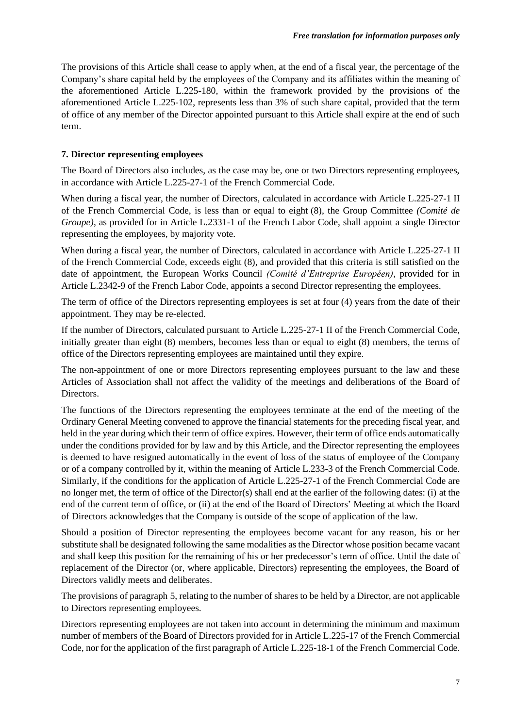The provisions of this Article shall cease to apply when, at the end of a fiscal year, the percentage of the Company's share capital held by the employees of the Company and its affiliates within the meaning of the aforementioned Article L.225-180, within the framework provided by the provisions of the aforementioned Article L.225-102, represents less than 3% of such share capital, provided that the term of office of any member of the Director appointed pursuant to this Article shall expire at the end of such term.

#### **7. Director representing employees**

The Board of Directors also includes, as the case may be, one or two Directors representing employees, in accordance with Article L.225-27-1 of the French Commercial Code.

When during a fiscal year, the number of Directors, calculated in accordance with Article L.225-27-1 II of the French Commercial Code, is less than or equal to eight (8), the Group Committee *(Comité de Groupe)*, as provided for in Article L.2331-1 of the French Labor Code, shall appoint a single Director representing the employees, by majority vote.

When during a fiscal year, the number of Directors, calculated in accordance with Article L.225-27-1 II of the French Commercial Code, exceeds eight (8), and provided that this criteria is still satisfied on the date of appointment, the European Works Council *(Comité d'Entreprise Européen)*, provided for in Article L.2342-9 of the French Labor Code, appoints a second Director representing the employees.

The term of office of the Directors representing employees is set at four (4) years from the date of their appointment. They may be re-elected.

If the number of Directors, calculated pursuant to Article L.225-27-1 II of the French Commercial Code, initially greater than eight (8) members, becomes less than or equal to eight (8) members, the terms of office of the Directors representing employees are maintained until they expire.

The non-appointment of one or more Directors representing employees pursuant to the law and these Articles of Association shall not affect the validity of the meetings and deliberations of the Board of Directors.

The functions of the Directors representing the employees terminate at the end of the meeting of the Ordinary General Meeting convened to approve the financial statements for the preceding fiscal year, and held in the year during which their term of office expires. However, their term of office ends automatically under the conditions provided for by law and by this Article, and the Director representing the employees is deemed to have resigned automatically in the event of loss of the status of employee of the Company or of a company controlled by it, within the meaning of Article L.233-3 of the French Commercial Code. Similarly, if the conditions for the application of Article L.225-27-1 of the French Commercial Code are no longer met, the term of office of the Director(s) shall end at the earlier of the following dates: (i) at the end of the current term of office, or (ii) at the end of the Board of Directors' Meeting at which the Board of Directors acknowledges that the Company is outside of the scope of application of the law.

Should a position of Director representing the employees become vacant for any reason, his or her substitute shall be designated following the same modalities as the Director whose position became vacant and shall keep this position for the remaining of his or her predecessor's term of office. Until the date of replacement of the Director (or, where applicable, Directors) representing the employees, the Board of Directors validly meets and deliberates.

The provisions of paragraph 5, relating to the number of shares to be held by a Director, are not applicable to Directors representing employees.

Directors representing employees are not taken into account in determining the minimum and maximum number of members of the Board of Directors provided for in Article L.225-17 of the French Commercial Code, nor for the application of the first paragraph of Article L.225-18-1 of the French Commercial Code.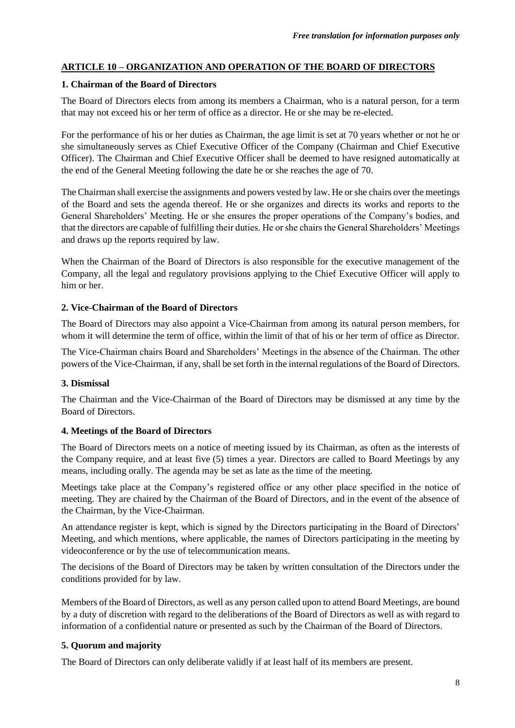# **ARTICLE 10 – ORGANIZATION AND OPERATION OF THE BOARD OF DIRECTORS**

### **1. Chairman of the Board of Directors**

The Board of Directors elects from among its members a Chairman, who is a natural person, for a term that may not exceed his or her term of office as a director. He or she may be re-elected.

For the performance of his or her duties as Chairman, the age limit is set at 70 years whether or not he or she simultaneously serves as Chief Executive Officer of the Company (Chairman and Chief Executive Officer). The Chairman and Chief Executive Officer shall be deemed to have resigned automatically at the end of the General Meeting following the date he or she reaches the age of 70.

The Chairman shall exercise the assignments and powers vested by law. He or she chairs over the meetings of the Board and sets the agenda thereof. He or she organizes and directs its works and reports to the General Shareholders' Meeting. He or she ensures the proper operations of the Company's bodies, and that the directors are capable of fulfilling their duties. He or she chairs the General Shareholders' Meetings and draws up the reports required by law.

When the Chairman of the Board of Directors is also responsible for the executive management of the Company, all the legal and regulatory provisions applying to the Chief Executive Officer will apply to him or her.

## **2. Vice-Chairman of the Board of Directors**

The Board of Directors may also appoint a Vice-Chairman from among its natural person members, for whom it will determine the term of office, within the limit of that of his or her term of office as Director.

The Vice-Chairman chairs Board and Shareholders' Meetings in the absence of the Chairman. The other powers of the Vice-Chairman, if any, shall be set forth in the internal regulations of the Board of Directors.

#### **3. Dismissal**

The Chairman and the Vice-Chairman of the Board of Directors may be dismissed at any time by the Board of Directors.

#### **4. Meetings of the Board of Directors**

The Board of Directors meets on a notice of meeting issued by its Chairman, as often as the interests of the Company require, and at least five (5) times a year. Directors are called to Board Meetings by any means, including orally. The agenda may be set as late as the time of the meeting.

Meetings take place at the Company's registered office or any other place specified in the notice of meeting. They are chaired by the Chairman of the Board of Directors, and in the event of the absence of the Chairman, by the Vice-Chairman.

An attendance register is kept, which is signed by the Directors participating in the Board of Directors' Meeting, and which mentions, where applicable, the names of Directors participating in the meeting by videoconference or by the use of telecommunication means.

The decisions of the Board of Directors may be taken by written consultation of the Directors under the conditions provided for by law.

Members of the Board of Directors, as well as any person called upon to attend Board Meetings, are bound by a duty of discretion with regard to the deliberations of the Board of Directors as well as with regard to information of a confidential nature or presented as such by the Chairman of the Board of Directors.

## **5. Quorum and majority**

The Board of Directors can only deliberate validly if at least half of its members are present.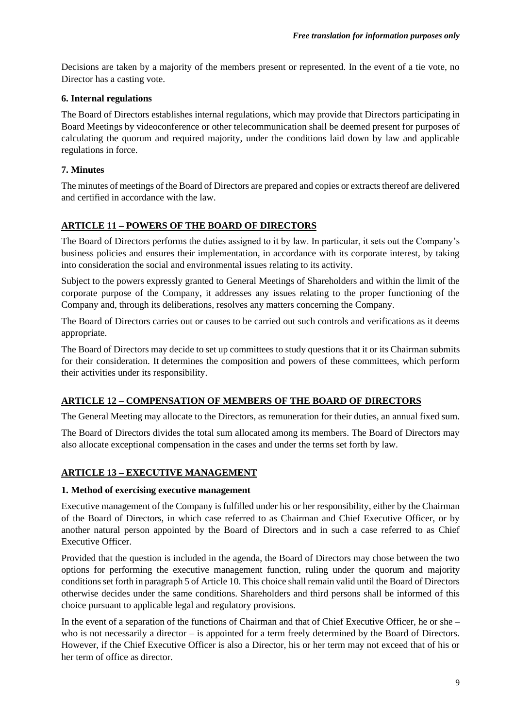Decisions are taken by a majority of the members present or represented. In the event of a tie vote, no Director has a casting vote.

#### **6. Internal regulations**

The Board of Directors establishes internal regulations, which may provide that Directors participating in Board Meetings by videoconference or other telecommunication shall be deemed present for purposes of calculating the quorum and required majority, under the conditions laid down by law and applicable regulations in force.

#### **7. Minutes**

The minutes of meetings of the Board of Directors are prepared and copies or extracts thereof are delivered and certified in accordance with the law.

# **ARTICLE 11 – POWERS OF THE BOARD OF DIRECTORS**

The Board of Directors performs the duties assigned to it by law. In particular, it sets out the Company's business policies and ensures their implementation, in accordance with its corporate interest, by taking into consideration the social and environmental issues relating to its activity.

Subject to the powers expressly granted to General Meetings of Shareholders and within the limit of the corporate purpose of the Company, it addresses any issues relating to the proper functioning of the Company and, through its deliberations, resolves any matters concerning the Company.

The Board of Directors carries out or causes to be carried out such controls and verifications as it deems appropriate.

The Board of Directors may decide to set up committees to study questions that it or its Chairman submits for their consideration. It determines the composition and powers of these committees, which perform their activities under its responsibility.

## **ARTICLE 12 – COMPENSATION OF MEMBERS OF THE BOARD OF DIRECTORS**

The General Meeting may allocate to the Directors, as remuneration for their duties, an annual fixed sum.

The Board of Directors divides the total sum allocated among its members. The Board of Directors may also allocate exceptional compensation in the cases and under the terms set forth by law.

## **ARTICLE 13 – EXECUTIVE MANAGEMENT**

#### **1. Method of exercising executive management**

Executive management of the Company is fulfilled under his or her responsibility, either by the Chairman of the Board of Directors, in which case referred to as Chairman and Chief Executive Officer, or by another natural person appointed by the Board of Directors and in such a case referred to as Chief Executive Officer.

Provided that the question is included in the agenda, the Board of Directors may chose between the two options for performing the executive management function, ruling under the quorum and majority conditions set forth in paragraph 5 of Article 10. This choice shall remain valid until the Board of Directors otherwise decides under the same conditions. Shareholders and third persons shall be informed of this choice pursuant to applicable legal and regulatory provisions.

In the event of a separation of the functions of Chairman and that of Chief Executive Officer, he or she – who is not necessarily a director – is appointed for a term freely determined by the Board of Directors. However, if the Chief Executive Officer is also a Director, his or her term may not exceed that of his or her term of office as director.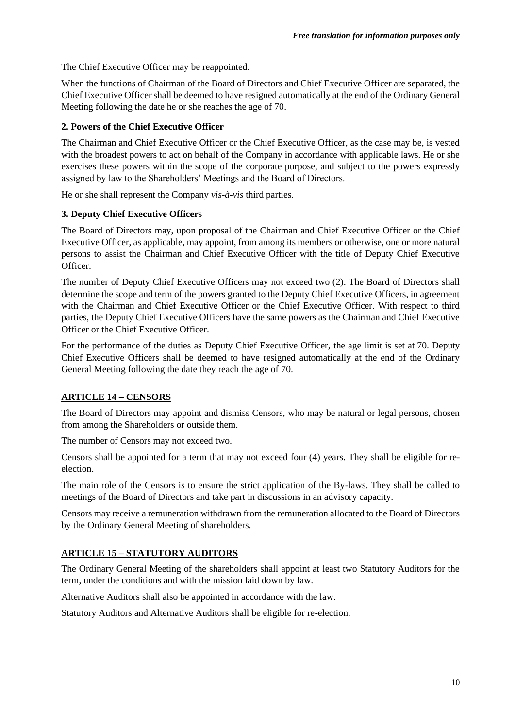The Chief Executive Officer may be reappointed.

When the functions of Chairman of the Board of Directors and Chief Executive Officer are separated, the Chief Executive Officer shall be deemed to have resigned automatically at the end of the Ordinary General Meeting following the date he or she reaches the age of 70.

## **2. Powers of the Chief Executive Officer**

The Chairman and Chief Executive Officer or the Chief Executive Officer, as the case may be, is vested with the broadest powers to act on behalf of the Company in accordance with applicable laws. He or she exercises these powers within the scope of the corporate purpose, and subject to the powers expressly assigned by law to the Shareholders' Meetings and the Board of Directors.

He or she shall represent the Company *vis-à-vis* third parties.

#### **3. Deputy Chief Executive Officers**

The Board of Directors may, upon proposal of the Chairman and Chief Executive Officer or the Chief Executive Officer, as applicable, may appoint, from among its members or otherwise, one or more natural persons to assist the Chairman and Chief Executive Officer with the title of Deputy Chief Executive Officer.

The number of Deputy Chief Executive Officers may not exceed two (2). The Board of Directors shall determine the scope and term of the powers granted to the Deputy Chief Executive Officers, in agreement with the Chairman and Chief Executive Officer or the Chief Executive Officer. With respect to third parties, the Deputy Chief Executive Officers have the same powers as the Chairman and Chief Executive Officer or the Chief Executive Officer.

For the performance of the duties as Deputy Chief Executive Officer, the age limit is set at 70. Deputy Chief Executive Officers shall be deemed to have resigned automatically at the end of the Ordinary General Meeting following the date they reach the age of 70.

## **ARTICLE 14 – CENSORS**

The Board of Directors may appoint and dismiss Censors, who may be natural or legal persons, chosen from among the Shareholders or outside them.

The number of Censors may not exceed two.

Censors shall be appointed for a term that may not exceed four (4) years. They shall be eligible for reelection.

The main role of the Censors is to ensure the strict application of the By-laws. They shall be called to meetings of the Board of Directors and take part in discussions in an advisory capacity.

Censors may receive a remuneration withdrawn from the remuneration allocated to the Board of Directors by the Ordinary General Meeting of shareholders.

## **ARTICLE 15 – STATUTORY AUDITORS**

The Ordinary General Meeting of the shareholders shall appoint at least two Statutory Auditors for the term, under the conditions and with the mission laid down by law.

Alternative Auditors shall also be appointed in accordance with the law.

Statutory Auditors and Alternative Auditors shall be eligible for re-election.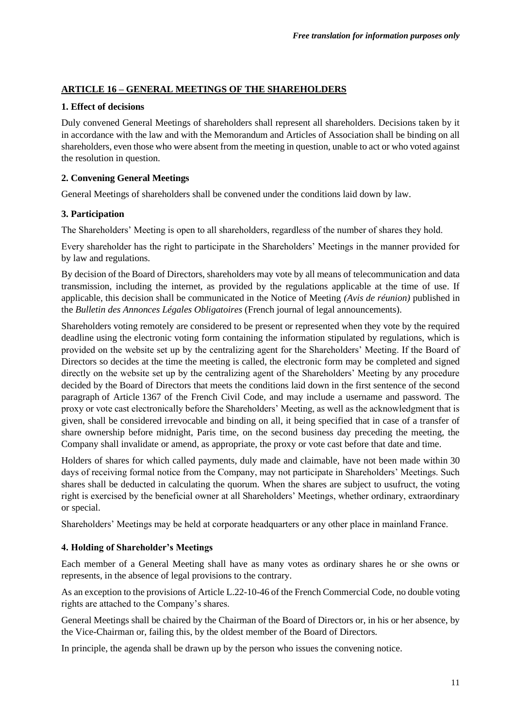### **ARTICLE 16 – GENERAL MEETINGS OF THE SHAREHOLDERS**

#### **1. Effect of decisions**

Duly convened General Meetings of shareholders shall represent all shareholders. Decisions taken by it in accordance with the law and with the Memorandum and Articles of Association shall be binding on all shareholders, even those who were absent from the meeting in question, unable to act or who voted against the resolution in question.

# **2. Convening General Meetings**

General Meetings of shareholders shall be convened under the conditions laid down by law.

#### **3. Participation**

The Shareholders' Meeting is open to all shareholders, regardless of the number of shares they hold.

Every shareholder has the right to participate in the Shareholders' Meetings in the manner provided for by law and regulations.

By decision of the Board of Directors, shareholders may vote by all means of telecommunication and data transmission, including the internet, as provided by the regulations applicable at the time of use. If applicable, this decision shall be communicated in the Notice of Meeting *(Avis de réunion)* published in the *Bulletin des Annonces Légales Obligatoires* (French journal of legal announcements).

Shareholders voting remotely are considered to be present or represented when they vote by the required deadline using the electronic voting form containing the information stipulated by regulations, which is provided on the website set up by the centralizing agent for the Shareholders' Meeting. If the Board of Directors so decides at the time the meeting is called, the electronic form may be completed and signed directly on the website set up by the centralizing agent of the Shareholders' Meeting by any procedure decided by the Board of Directors that meets the conditions laid down in the first sentence of the second paragraph of Article 1367 of the French Civil Code, and may include a username and password. The proxy or vote cast electronically before the Shareholders' Meeting, as well as the acknowledgment that is given, shall be considered irrevocable and binding on all, it being specified that in case of a transfer of share ownership before midnight, Paris time, on the second business day preceding the meeting, the Company shall invalidate or amend, as appropriate, the proxy or vote cast before that date and time.

Holders of shares for which called payments, duly made and claimable, have not been made within 30 days of receiving formal notice from the Company, may not participate in Shareholders' Meetings. Such shares shall be deducted in calculating the quorum. When the shares are subject to usufruct, the voting right is exercised by the beneficial owner at all Shareholders' Meetings, whether ordinary, extraordinary or special.

Shareholders' Meetings may be held at corporate headquarters or any other place in mainland France.

## **4. Holding of Shareholder's Meetings**

Each member of a General Meeting shall have as many votes as ordinary shares he or she owns or represents, in the absence of legal provisions to the contrary.

As an exception to the provisions of Article L.22-10-46 of the French Commercial Code, no double voting rights are attached to the Company's shares.

General Meetings shall be chaired by the Chairman of the Board of Directors or, in his or her absence, by the Vice-Chairman or, failing this, by the oldest member of the Board of Directors.

In principle, the agenda shall be drawn up by the person who issues the convening notice.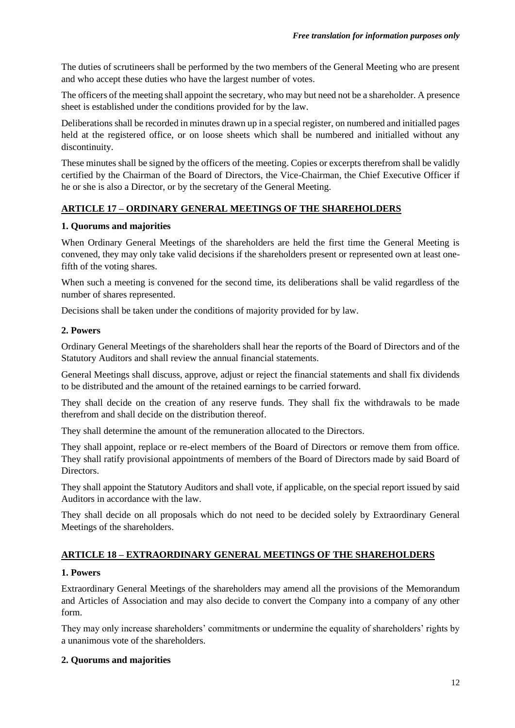The duties of scrutineers shall be performed by the two members of the General Meeting who are present and who accept these duties who have the largest number of votes.

The officers of the meeting shall appoint the secretary, who may but need not be a shareholder. A presence sheet is established under the conditions provided for by the law.

Deliberations shall be recorded in minutes drawn up in a special register, on numbered and initialled pages held at the registered office, or on loose sheets which shall be numbered and initialled without any discontinuity.

These minutes shall be signed by the officers of the meeting. Copies or excerpts therefrom shall be validly certified by the Chairman of the Board of Directors, the Vice-Chairman, the Chief Executive Officer if he or she is also a Director, or by the secretary of the General Meeting.

## **ARTICLE 17 – ORDINARY GENERAL MEETINGS OF THE SHAREHOLDERS**

#### **1. Quorums and majorities**

When Ordinary General Meetings of the shareholders are held the first time the General Meeting is convened, they may only take valid decisions if the shareholders present or represented own at least onefifth of the voting shares.

When such a meeting is convened for the second time, its deliberations shall be valid regardless of the number of shares represented.

Decisions shall be taken under the conditions of majority provided for by law.

#### **2. Powers**

Ordinary General Meetings of the shareholders shall hear the reports of the Board of Directors and of the Statutory Auditors and shall review the annual financial statements.

General Meetings shall discuss, approve, adjust or reject the financial statements and shall fix dividends to be distributed and the amount of the retained earnings to be carried forward.

They shall decide on the creation of any reserve funds. They shall fix the withdrawals to be made therefrom and shall decide on the distribution thereof.

They shall determine the amount of the remuneration allocated to the Directors.

They shall appoint, replace or re-elect members of the Board of Directors or remove them from office. They shall ratify provisional appointments of members of the Board of Directors made by said Board of Directors.

They shall appoint the Statutory Auditors and shall vote, if applicable, on the special report issued by said Auditors in accordance with the law.

They shall decide on all proposals which do not need to be decided solely by Extraordinary General Meetings of the shareholders.

## **ARTICLE 18 – EXTRAORDINARY GENERAL MEETINGS OF THE SHAREHOLDERS**

#### **1. Powers**

Extraordinary General Meetings of the shareholders may amend all the provisions of the Memorandum and Articles of Association and may also decide to convert the Company into a company of any other form.

They may only increase shareholders' commitments or undermine the equality of shareholders' rights by a unanimous vote of the shareholders.

#### **2. Quorums and majorities**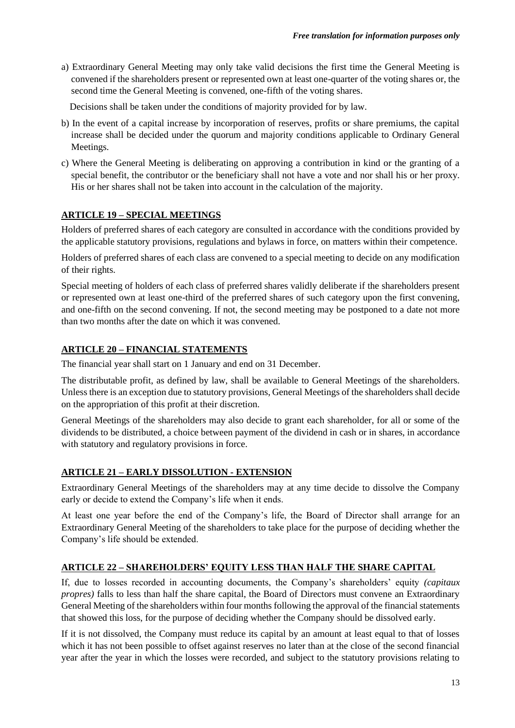a) Extraordinary General Meeting may only take valid decisions the first time the General Meeting is convened if the shareholders present or represented own at least one-quarter of the voting shares or, the second time the General Meeting is convened, one-fifth of the voting shares.

Decisions shall be taken under the conditions of majority provided for by law.

- b) In the event of a capital increase by incorporation of reserves, profits or share premiums, the capital increase shall be decided under the quorum and majority conditions applicable to Ordinary General Meetings.
- c) Where the General Meeting is deliberating on approving a contribution in kind or the granting of a special benefit, the contributor or the beneficiary shall not have a vote and nor shall his or her proxy. His or her shares shall not be taken into account in the calculation of the majority.

# **ARTICLE 19 – SPECIAL MEETINGS**

Holders of preferred shares of each category are consulted in accordance with the conditions provided by the applicable statutory provisions, regulations and bylaws in force, on matters within their competence.

Holders of preferred shares of each class are convened to a special meeting to decide on any modification of their rights.

Special meeting of holders of each class of preferred shares validly deliberate if the shareholders present or represented own at least one-third of the preferred shares of such category upon the first convening, and one-fifth on the second convening. If not, the second meeting may be postponed to a date not more than two months after the date on which it was convened.

# **ARTICLE 20 – FINANCIAL STATEMENTS**

The financial year shall start on 1 January and end on 31 December.

The distributable profit, as defined by law, shall be available to General Meetings of the shareholders. Unless there is an exception due to statutory provisions, General Meetings of the shareholders shall decide on the appropriation of this profit at their discretion.

General Meetings of the shareholders may also decide to grant each shareholder, for all or some of the dividends to be distributed, a choice between payment of the dividend in cash or in shares, in accordance with statutory and regulatory provisions in force.

## **ARTICLE 21 – EARLY DISSOLUTION - EXTENSION**

Extraordinary General Meetings of the shareholders may at any time decide to dissolve the Company early or decide to extend the Company's life when it ends.

At least one year before the end of the Company's life, the Board of Director shall arrange for an Extraordinary General Meeting of the shareholders to take place for the purpose of deciding whether the Company's life should be extended.

## **ARTICLE 22 – SHAREHOLDERS' EQUITY LESS THAN HALF THE SHARE CAPITAL**

If, due to losses recorded in accounting documents, the Company's shareholders' equity *(capitaux propres*) falls to less than half the share capital, the Board of Directors must convene an Extraordinary General Meeting of the shareholders within four months following the approval of the financial statements that showed this loss, for the purpose of deciding whether the Company should be dissolved early.

If it is not dissolved, the Company must reduce its capital by an amount at least equal to that of losses which it has not been possible to offset against reserves no later than at the close of the second financial year after the year in which the losses were recorded, and subject to the statutory provisions relating to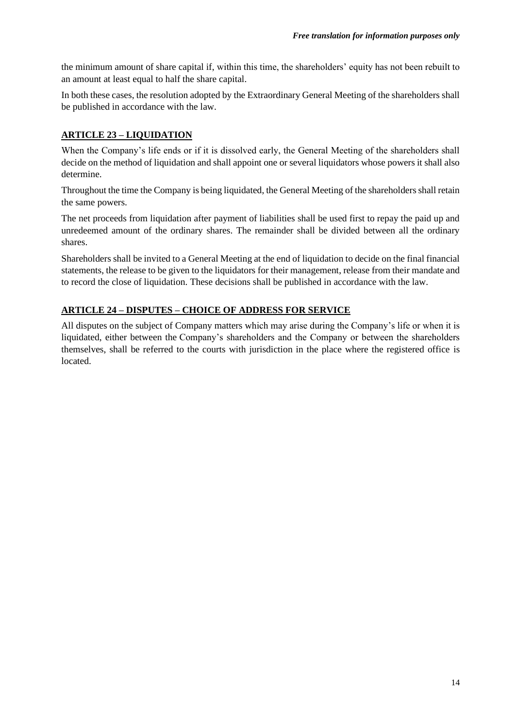the minimum amount of share capital if, within this time, the shareholders' equity has not been rebuilt to an amount at least equal to half the share capital.

In both these cases, the resolution adopted by the Extraordinary General Meeting of the shareholders shall be published in accordance with the law.

#### **ARTICLE 23 – LIQUIDATION**

When the Company's life ends or if it is dissolved early, the General Meeting of the shareholders shall decide on the method of liquidation and shall appoint one or several liquidators whose powers it shall also determine.

Throughout the time the Company is being liquidated, the General Meeting of the shareholders shall retain the same powers.

The net proceeds from liquidation after payment of liabilities shall be used first to repay the paid up and unredeemed amount of the ordinary shares. The remainder shall be divided between all the ordinary shares.

Shareholders shall be invited to a General Meeting at the end of liquidation to decide on the final financial statements, the release to be given to the liquidators for their management, release from their mandate and to record the close of liquidation. These decisions shall be published in accordance with the law.

# **ARTICLE 24 – DISPUTES – CHOICE OF ADDRESS FOR SERVICE**

All disputes on the subject of Company matters which may arise during the Company's life or when it is liquidated, either between the Company's shareholders and the Company or between the shareholders themselves, shall be referred to the courts with jurisdiction in the place where the registered office is located.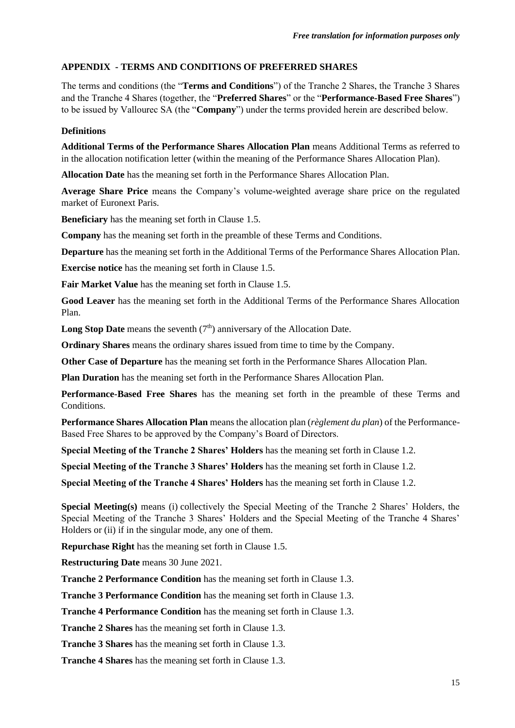## **APPENDIX - TERMS AND CONDITIONS OF PREFERRED SHARES**

The terms and conditions (the "**Terms and Conditions**") of the Tranche 2 Shares, the Tranche 3 Shares and the Tranche 4 Shares (together, the "**Preferred Shares**" or the "**Performance-Based Free Shares**") to be issued by Vallourec SA (the "**Company**") under the terms provided herein are described below.

#### **Definitions**

**Additional Terms of the Performance Shares Allocation Plan** means Additional Terms as referred to in the allocation notification letter (within the meaning of the Performance Shares Allocation Plan).

**Allocation Date** has the meaning set forth in the Performance Shares Allocation Plan.

**Average Share Price** means the Company's volume-weighted average share price on the regulated market of Euronext Paris.

**Beneficiary** has the meaning set forth in Clause 1.5.

**Company** has the meaning set forth in the preamble of these Terms and Conditions.

**Departure** has the meaning set forth in the Additional Terms of the Performance Shares Allocation Plan.

**Exercise notice** has the meaning set forth in Clause 1.5.

**Fair Market Value** has the meaning set forth in Clause 1.5.

**Good Leaver** has the meaning set forth in the Additional Terms of the Performance Shares Allocation Plan.

**Long Stop Date** means the seventh  $(7<sup>th</sup>)$  anniversary of the Allocation Date.

**Ordinary Shares** means the ordinary shares issued from time to time by the Company.

**Other Case of Departure** has the meaning set forth in the Performance Shares Allocation Plan.

**Plan Duration** has the meaning set forth in the Performance Shares Allocation Plan.

**Performance-Based Free Shares** has the meaning set forth in the preamble of these Terms and **Conditions** 

**Performance Shares Allocation Plan** means the allocation plan (*règlement du plan*) of the Performance-Based Free Shares to be approved by the Company's Board of Directors.

**Special Meeting of the Tranche 2 Shares' Holders** has the meaning set forth in Clause 1.2.

**Special Meeting of the Tranche 3 Shares' Holders** has the meaning set forth in Clause 1.2.

**Special Meeting of the Tranche 4 Shares' Holders** has the meaning set forth in Clause 1.2.

**Special Meeting(s)** means (i) collectively the Special Meeting of the Tranche 2 Shares' Holders, the Special Meeting of the Tranche 3 Shares' Holders and the Special Meeting of the Tranche 4 Shares' Holders or (ii) if in the singular mode, any one of them.

**Repurchase Right** has the meaning set forth in Clause 1.5.

**Restructuring Date** means 30 June 2021.

**Tranche 2 Performance Condition** has the meaning set forth in Clause 1.3.

**Tranche 3 Performance Condition** has the meaning set forth in Clause 1.3.

**Tranche 4 Performance Condition** has the meaning set forth in Clause 1.3.

**Tranche 2 Shares** has the meaning set forth in Clause 1.3.

**Tranche 3 Shares** has the meaning set forth in Clause 1.3.

**Tranche 4 Shares** has the meaning set forth in Clause 1.3.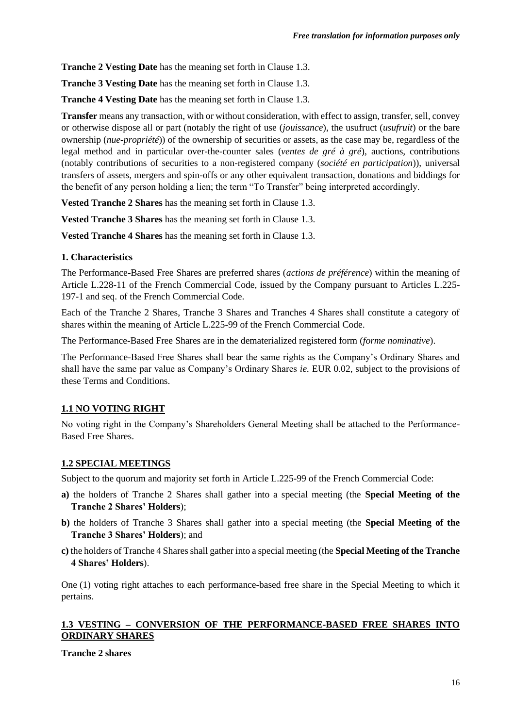**Tranche 2 Vesting Date** has the meaning set forth in Clause 1.3.

**Tranche 3 Vesting Date** has the meaning set forth in Clause 1.3.

**Tranche 4 Vesting Date** has the meaning set forth in Clause 1.3.

**Transfer** means any transaction, with or without consideration, with effect to assign, transfer, sell, convey or otherwise dispose all or part (notably the right of use (*jouissance*), the usufruct (*usufruit*) or the bare ownership (*nue-propriété*)) of the ownership of securities or assets, as the case may be, regardless of the legal method and in particular over-the-counter sales (*ventes de gré à gré*), auctions, contributions (notably contributions of securities to a non-registered company (*société en participation*)), universal transfers of assets, mergers and spin-offs or any other equivalent transaction, donations and biddings for the benefit of any person holding a lien; the term "To Transfer" being interpreted accordingly.

**Vested Tranche 2 Shares** has the meaning set forth in Clause 1.3.

**Vested Tranche 3 Shares** has the meaning set forth in Clause 1.3.

**Vested Tranche 4 Shares** has the meaning set forth in Clause 1.3.

#### **1. Characteristics**

The Performance-Based Free Shares are preferred shares (*actions de préférence*) within the meaning of Article L.228-11 of the French Commercial Code, issued by the Company pursuant to Articles L.225- 197-1 and seq. of the French Commercial Code.

Each of the Tranche 2 Shares, Tranche 3 Shares and Tranches 4 Shares shall constitute a category of shares within the meaning of Article L.225-99 of the French Commercial Code.

The Performance-Based Free Shares are in the dematerialized registered form (*forme nominative*).

The Performance-Based Free Shares shall bear the same rights as the Company's Ordinary Shares and shall have the same par value as Company's Ordinary Shares *ie.* EUR 0.02, subject to the provisions of these Terms and Conditions.

## **1.1 NO VOTING RIGHT**

No voting right in the Company's Shareholders General Meeting shall be attached to the Performance-Based Free Shares.

## **1.2 SPECIAL MEETINGS**

Subject to the quorum and majority set forth in Article L.225-99 of the French Commercial Code:

- **a)** the holders of Tranche 2 Shares shall gather into a special meeting (the **Special Meeting of the Tranche 2 Shares' Holders**);
- **b)** the holders of Tranche 3 Shares shall gather into a special meeting (the **Special Meeting of the Tranche 3 Shares' Holders**); and
- **c)** the holders of Tranche 4 Shares shall gather into a special meeting (the **Special Meeting of the Tranche 4 Shares' Holders**).

One (1) voting right attaches to each performance-based free share in the Special Meeting to which it pertains.

## **1.3 VESTING – CONVERSION OF THE PERFORMANCE-BASED FREE SHARES INTO ORDINARY SHARES**

**Tranche 2 shares**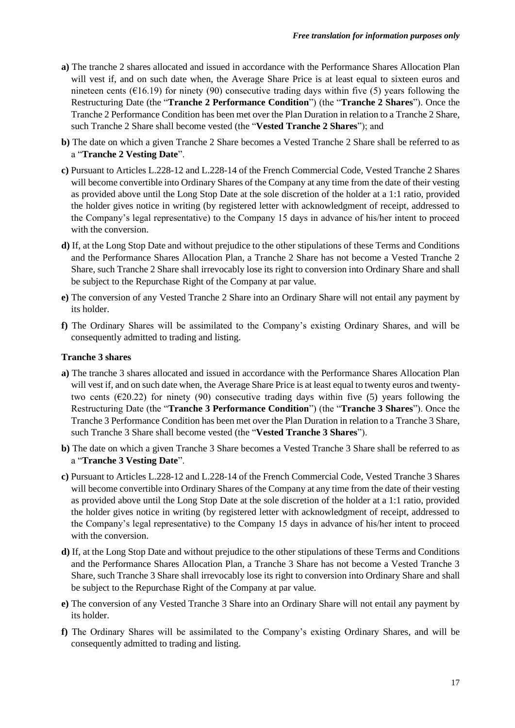- **a)** The tranche 2 shares allocated and issued in accordance with the Performance Shares Allocation Plan will vest if, and on such date when, the Average Share Price is at least equal to sixteen euros and nineteen cents ( $\epsilon$ 16.19) for ninety (90) consecutive trading days within five (5) years following the Restructuring Date (the "**Tranche 2 Performance Condition**") (the "**Tranche 2 Shares**"). Once the Tranche 2 Performance Condition has been met over the Plan Duration in relation to a Tranche 2 Share, such Tranche 2 Share shall become vested (the "**Vested Tranche 2 Shares**"); and
- **b)** The date on which a given Tranche 2 Share becomes a Vested Tranche 2 Share shall be referred to as a "**Tranche 2 Vesting Date**".
- **c)** Pursuant to Articles L.228-12 and L.228-14 of the French Commercial Code, Vested Tranche 2 Shares will become convertible into Ordinary Shares of the Company at any time from the date of their vesting as provided above until the Long Stop Date at the sole discretion of the holder at a 1:1 ratio, provided the holder gives notice in writing (by registered letter with acknowledgment of receipt, addressed to the Company's legal representative) to the Company 15 days in advance of his/her intent to proceed with the conversion.
- **d)** If, at the Long Stop Date and without prejudice to the other stipulations of these Terms and Conditions and the Performance Shares Allocation Plan, a Tranche 2 Share has not become a Vested Tranche 2 Share, such Tranche 2 Share shall irrevocably lose its right to conversion into Ordinary Share and shall be subject to the Repurchase Right of the Company at par value.
- **e)** The conversion of any Vested Tranche 2 Share into an Ordinary Share will not entail any payment by its holder.
- **f)** The Ordinary Shares will be assimilated to the Company's existing Ordinary Shares, and will be consequently admitted to trading and listing.

#### **Tranche 3 shares**

- **a)** The tranche 3 shares allocated and issued in accordance with the Performance Shares Allocation Plan will vest if, and on such date when, the Average Share Price is at least equal to twenty euros and twentytwo cents ( $\epsilon$ 20.22) for ninety (90) consecutive trading days within five (5) years following the Restructuring Date (the "**Tranche 3 Performance Condition**") (the "**Tranche 3 Shares**"). Once the Tranche 3 Performance Condition has been met over the Plan Duration in relation to a Tranche 3 Share, such Tranche 3 Share shall become vested (the "**Vested Tranche 3 Shares**").
- **b)** The date on which a given Tranche 3 Share becomes a Vested Tranche 3 Share shall be referred to as a "**Tranche 3 Vesting Date**".
- **c)** Pursuant to Articles L.228-12 and L.228-14 of the French Commercial Code, Vested Tranche 3 Shares will become convertible into Ordinary Shares of the Company at any time from the date of their vesting as provided above until the Long Stop Date at the sole discretion of the holder at a 1:1 ratio, provided the holder gives notice in writing (by registered letter with acknowledgment of receipt, addressed to the Company's legal representative) to the Company 15 days in advance of his/her intent to proceed with the conversion.
- **d)** If, at the Long Stop Date and without prejudice to the other stipulations of these Terms and Conditions and the Performance Shares Allocation Plan, a Tranche 3 Share has not become a Vested Tranche 3 Share, such Tranche 3 Share shall irrevocably lose its right to conversion into Ordinary Share and shall be subject to the Repurchase Right of the Company at par value.
- **e)** The conversion of any Vested Tranche 3 Share into an Ordinary Share will not entail any payment by its holder.
- **f)** The Ordinary Shares will be assimilated to the Company's existing Ordinary Shares, and will be consequently admitted to trading and listing.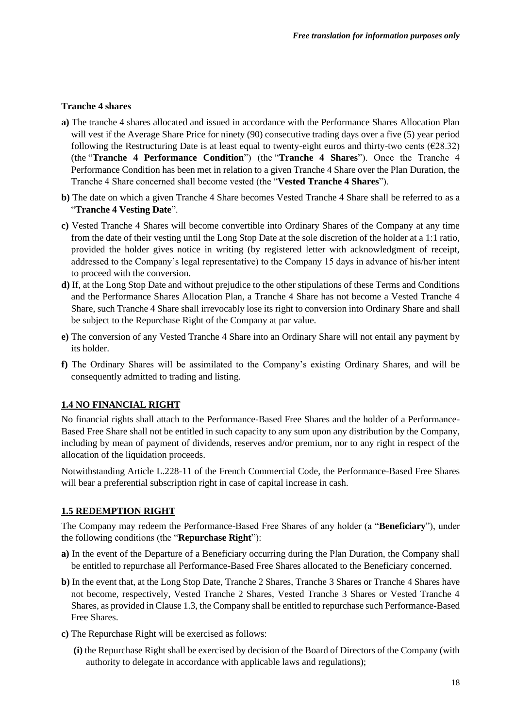#### **Tranche 4 shares**

- **a)** The tranche 4 shares allocated and issued in accordance with the Performance Shares Allocation Plan will vest if the Average Share Price for ninety (90) consecutive trading days over a five (5) year period following the Restructuring Date is at least equal to twenty-eight euros and thirty-two cents ( $\epsilon$ 28.32) (the "**Tranche 4 Performance Condition**") (the "**Tranche 4 Shares**"). Once the Tranche 4 Performance Condition has been met in relation to a given Tranche 4 Share over the Plan Duration, the Tranche 4 Share concerned shall become vested (the "**Vested Tranche 4 Shares**").
- **b**) The date on which a given Tranche 4 Share becomes Vested Tranche 4 Share shall be referred to as a "**Tranche 4 Vesting Date**".
- **c)** Vested Tranche 4 Shares will become convertible into Ordinary Shares of the Company at any time from the date of their vesting until the Long Stop Date at the sole discretion of the holder at a 1:1 ratio, provided the holder gives notice in writing (by registered letter with acknowledgment of receipt, addressed to the Company's legal representative) to the Company 15 days in advance of his/her intent to proceed with the conversion.
- **d)** If, at the Long Stop Date and without prejudice to the other stipulations of these Terms and Conditions and the Performance Shares Allocation Plan, a Tranche 4 Share has not become a Vested Tranche 4 Share, such Tranche 4 Share shall irrevocably lose its right to conversion into Ordinary Share and shall be subject to the Repurchase Right of the Company at par value.
- **e)** The conversion of any Vested Tranche 4 Share into an Ordinary Share will not entail any payment by its holder.
- **f)** The Ordinary Shares will be assimilated to the Company's existing Ordinary Shares, and will be consequently admitted to trading and listing.

#### **1.4 NO FINANCIAL RIGHT**

No financial rights shall attach to the Performance-Based Free Shares and the holder of a Performance-Based Free Share shall not be entitled in such capacity to any sum upon any distribution by the Company, including by mean of payment of dividends, reserves and/or premium, nor to any right in respect of the allocation of the liquidation proceeds.

Notwithstanding Article L.228-11 of the French Commercial Code, the Performance-Based Free Shares will bear a preferential subscription right in case of capital increase in cash.

#### **1.5 REDEMPTION RIGHT**

The Company may redeem the Performance-Based Free Shares of any holder (a "**Beneficiary**"), under the following conditions (the "**Repurchase Right**"):

- **a)** In the event of the Departure of a Beneficiary occurring during the Plan Duration, the Company shall be entitled to repurchase all Performance-Based Free Shares allocated to the Beneficiary concerned.
- **b)** In the event that, at the Long Stop Date, Tranche 2 Shares, Tranche 3 Shares or Tranche 4 Shares have not become, respectively, Vested Tranche 2 Shares, Vested Tranche 3 Shares or Vested Tranche 4 Shares, as provided in Clause 1.3, the Company shall be entitled to repurchase such Performance-Based Free Shares.
- **c)** The Repurchase Right will be exercised as follows:
	- **(i)** the Repurchase Right shall be exercised by decision of the Board of Directors of the Company (with authority to delegate in accordance with applicable laws and regulations);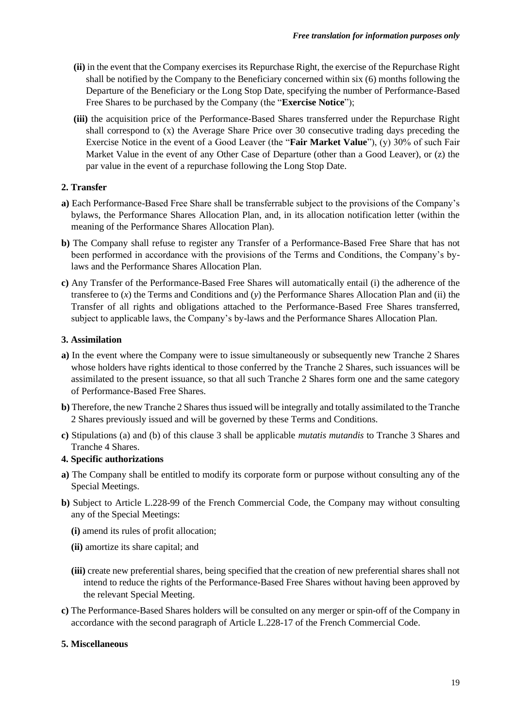- **(ii)** in the event that the Company exercises its Repurchase Right, the exercise of the Repurchase Right shall be notified by the Company to the Beneficiary concerned within six (6) months following the Departure of the Beneficiary or the Long Stop Date, specifying the number of Performance-Based Free Shares to be purchased by the Company (the "**Exercise Notice**");
- **(iii)** the acquisition price of the Performance-Based Shares transferred under the Repurchase Right shall correspond to  $(x)$  the Average Share Price over 30 consecutive trading days preceding the Exercise Notice in the event of a Good Leaver (the "**Fair Market Value**"), (y) 30% of such Fair Market Value in the event of any Other Case of Departure (other than a Good Leaver), or (z) the par value in the event of a repurchase following the Long Stop Date.

## **2. Transfer**

- **a)** Each Performance-Based Free Share shall be transferrable subject to the provisions of the Company's bylaws, the Performance Shares Allocation Plan, and, in its allocation notification letter (within the meaning of the Performance Shares Allocation Plan).
- **b)** The Company shall refuse to register any Transfer of a Performance-Based Free Share that has not been performed in accordance with the provisions of the Terms and Conditions, the Company's bylaws and the Performance Shares Allocation Plan.
- **c)** Any Transfer of the Performance-Based Free Shares will automatically entail (i) the adherence of the transferee to (*x*) the Terms and Conditions and (*y*) the Performance Shares Allocation Plan and (ii) the Transfer of all rights and obligations attached to the Performance-Based Free Shares transferred, subject to applicable laws, the Company's by-laws and the Performance Shares Allocation Plan.

# **3. Assimilation**

- **a)** In the event where the Company were to issue simultaneously or subsequently new Tranche 2 Shares whose holders have rights identical to those conferred by the Tranche 2 Shares, such issuances will be assimilated to the present issuance, so that all such Tranche 2 Shares form one and the same category of Performance-Based Free Shares.
- **b)** Therefore, the new Tranche 2 Shares thus issued will be integrally and totally assimilated to the Tranche 2 Shares previously issued and will be governed by these Terms and Conditions.
- **c)** Stipulations (a) and (b) of this clause 3 shall be applicable *mutatis mutandis* to Tranche 3 Shares and Tranche 4 Shares.

# **4. Specific authorizations**

- **a)** The Company shall be entitled to modify its corporate form or purpose without consulting any of the Special Meetings.
- **b)** Subject to Article L.228-99 of the French Commercial Code, the Company may without consulting any of the Special Meetings:
	- **(i)** amend its rules of profit allocation;
	- **(ii)** amortize its share capital; and
	- **(iii)** create new preferential shares, being specified that the creation of new preferential shares shall not intend to reduce the rights of the Performance-Based Free Shares without having been approved by the relevant Special Meeting.
- **c)** The Performance-Based Shares holders will be consulted on any merger or spin-off of the Company in accordance with the second paragraph of Article L.228-17 of the French Commercial Code.

## **5. Miscellaneous**